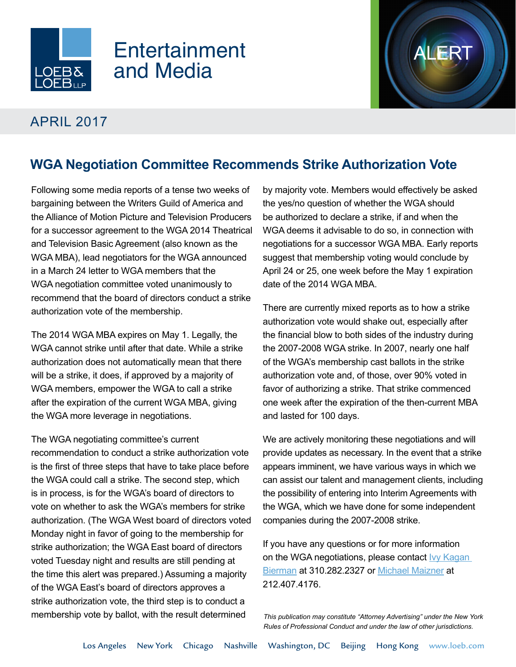

## Entertainment and Media

## APRIL 2017

## **WGA Negotiation Committee Recommends Strike Authorization Vote**

Following some media reports of a tense two weeks of bargaining between the Writers Guild of America and the Alliance of Motion Picture and Television Producers for a successor agreement to the WGA 2014 Theatrical and Television Basic Agreement (also known as the WGA MBA), lead negotiators for the WGA announced in a March 24 letter to WGA members that the WGA negotiation committee voted unanimously to recommend that the board of directors conduct a strike authorization vote of the membership.

The 2014 WGA MBA expires on May 1. Legally, the WGA cannot strike until after that date. While a strike authorization does not automatically mean that there will be a strike, it does, if approved by a majority of WGA members, empower the WGA to call a strike after the expiration of the current WGA MBA, giving the WGA more leverage in negotiations.

The WGA negotiating committee's current recommendation to conduct a strike authorization vote is the first of three steps that have to take place before the WGA could call a strike. The second step, which is in process, is for the WGA's board of directors to vote on whether to ask the WGA's members for strike authorization. (The WGA West board of directors voted Monday night in favor of going to the membership for strike authorization; the WGA East board of directors voted Tuesday night and results are still pending at the time this alert was prepared.) Assuming a majority of the WGA East's board of directors approves a strike authorization vote, the third step is to conduct a membership vote by ballot, with the result determined

by majority vote. Members would effectively be asked the yes/no question of whether the WGA should be authorized to declare a strike, if and when the WGA deems it advisable to do so, in connection with negotiations for a successor WGA MBA. Early reports suggest that membership voting would conclude by April 24 or 25, one week before the May 1 expiration date of the 2014 WGA MBA.

There are currently mixed reports as to how a strike authorization vote would shake out, especially after the financial blow to both sides of the industry during the 2007-2008 WGA strike. In 2007, nearly one half of the WGA's membership cast ballots in the strike authorization vote and, of those, over 90% voted in favor of authorizing a strike. That strike commenced one week after the expiration of the then-current MBA and lasted for 100 days.

We are actively monitoring these negotiations and will provide updates as necessary. In the event that a strike appears imminent, we have various ways in which we can assist our talent and management clients, including the possibility of entering into Interim Agreements with the WGA, which we have done for some independent companies during the 2007-2008 strike.

If you have any questions or for more information on the WGA negotiations, please contact Ivy Kagan [Bierman](http://www.loeb.com/attorney-ivykaganbierman) at 310.282.2327 or [Michael Maizner](http://www.loeb.com/attorney-michaelzmaizner) at 212.407.4176.

*This publication may constitute "Attorney Advertising" under the New York Rules of Professional Conduct and under the law of other jurisdictions.*